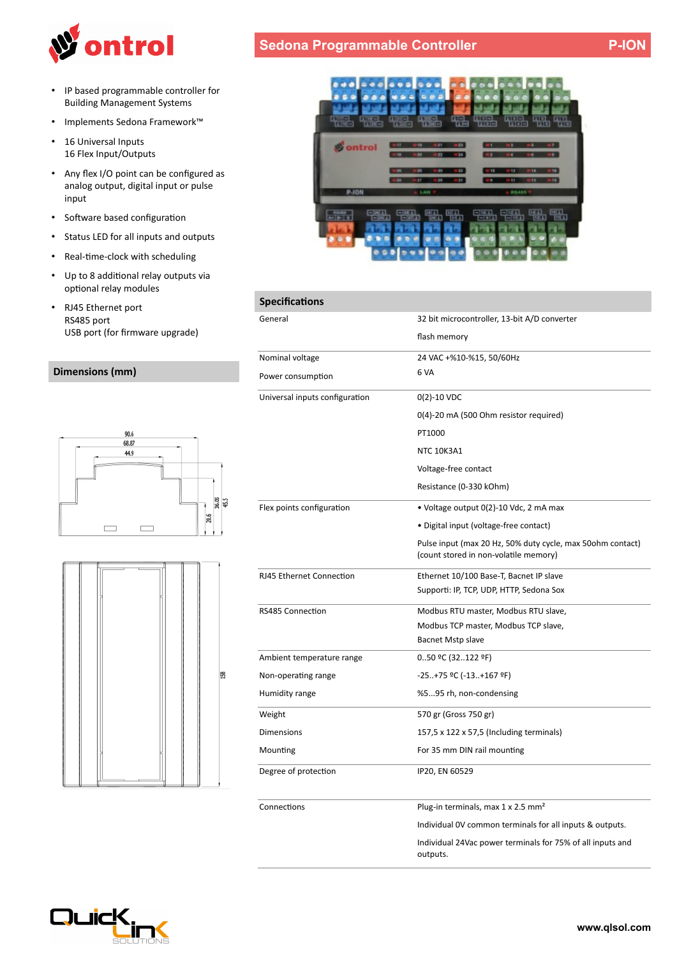

- IP based programmable controller for Building Management Systems
- Implements Sedona Framework™
- 16 Universal Inputs 16 Flex Input/Outputs
- Any flex I/O point can be configured as analog output, digital input or pulse input
- Software based configuration
- Status LED for all inputs and outputs
- Real-tme-clock with scheduling
- Up to 8 additonal relay outputs via optional relay modules
- RJ45 Ethernet port RS485 port USB port (for frmware upgrade)

## **Dimensions (mm)**







| <b>Specifications</b>          |                                                                                                      |
|--------------------------------|------------------------------------------------------------------------------------------------------|
| General                        | 32 bit microcontroller, 13-bit A/D converter                                                         |
|                                | flash memory                                                                                         |
| Nominal voltage                | 24 VAC +%10-%15, 50/60Hz                                                                             |
| Power consumption              | 6 VA                                                                                                 |
| Universal inputs configuration | $0(2) - 10$ VDC                                                                                      |
|                                | 0(4)-20 mA (500 Ohm resistor required)                                                               |
|                                | PT1000                                                                                               |
|                                | <b>NTC 10K3A1</b>                                                                                    |
|                                | Voltage-free contact                                                                                 |
|                                | Resistance (0-330 kOhm)                                                                              |
| Flex points configuration      | • Voltage output 0(2)-10 Vdc, 2 mA max                                                               |
|                                | • Digital input (voltage-free contact)                                                               |
|                                | Pulse input (max 20 Hz, 50% duty cycle, max 50 ohm contact)<br>(count stored in non-volatile memory) |
| RJ45 Ethernet Connection       | Ethernet 10/100 Base-T, Bacnet IP slave                                                              |
|                                | Supporti: IP, TCP, UDP, HTTP, Sedona Sox                                                             |
| RS485 Connection               | Modbus RTU master, Modbus RTU slave,                                                                 |
|                                | Modbus TCP master, Modbus TCP slave,                                                                 |
|                                | Bacnet Mstp slave                                                                                    |
| Ambient temperature range      | 050 °C (32122 °F)                                                                                    |
| Non-operating range            | -25+75 ºC (-13+167 ºF)                                                                               |
| Humidity range                 | %595 rh, non-condensing                                                                              |
| Weight                         | 570 gr (Gross 750 gr)                                                                                |
| <b>Dimensions</b>              | 157,5 x 122 x 57,5 (Including terminals)                                                             |
| Mounting                       | For 35 mm DIN rail mounting                                                                          |
| Degree of protection           | IP20, EN 60529                                                                                       |
| Connections                    | Plug-in terminals, max 1 x 2.5 mm <sup>2</sup>                                                       |
|                                | Individual OV common terminals for all inputs & outputs.                                             |
|                                | Individual 24Vac power terminals for 75% of all inputs and<br>outputs.                               |